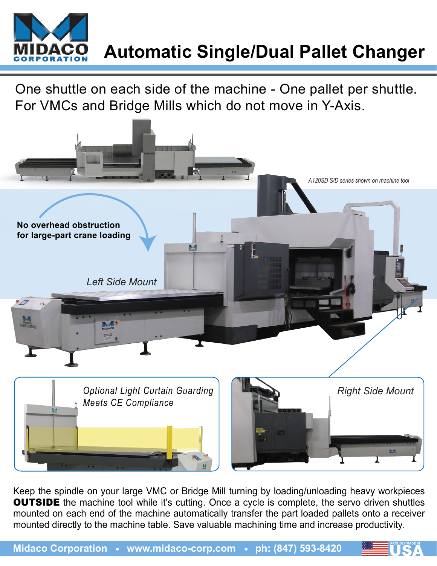

## **Automatic Single/Dual Pallet Changer**

One shuttle on each side of the machine - One pallet per shuttle. For VMCs and Bridge Mills which do not move in Y-Axis.



Keep the spindle on your large VMC or Bridge Mill turning by loading/unloading heavy workpieces **OUTSIDE** the machine tool while it's cutting. Once a cycle is complete, the servo driven shuttles mounted on each end of the machine automatically transfer the part loaded pallets onto a receiver mounted directly to the machine table. Save valuable machining time and increase productivity.

**PROUDLY MADE IN**